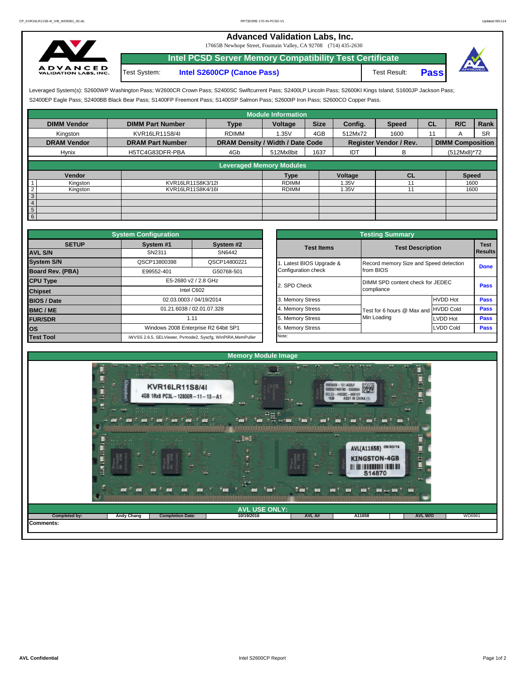## **Advanced Validation Labs, Inc.**

17665B Newhope Street, Fountain Valley, CA 92708 (714) 435-2630



Test System: **Intel S2600CP (Canoe Pass)** Test Result: **Pass Intel PCSD Server Memory Compatibility Test Certificate**



S2400EP Eagle Pass; S2400BB Black Bear Pass; S1400FP Freemont Pass; S1400SP Salmon Pass; S2600IP Iron Pass; S2600CO Copper Pass. Leveraged System(s): S2600WP Washington Pass; W2600CR Crown Pass; S2400SC Swiftcurrent Pass; S2400LP Lincoln Pass; S2600KI Kings Island; S1600JP Jackson Pass;

|                            |                         |                                  | <b>Module Information</b>       |             |         |                               |           |                         |           |
|----------------------------|-------------------------|----------------------------------|---------------------------------|-------------|---------|-------------------------------|-----------|-------------------------|-----------|
| <b>DIMM Vendor</b>         | <b>DIMM Part Number</b> | <b>Type</b>                      | Voltage                         | <b>Size</b> | Config. | <b>Speed</b>                  | <b>CL</b> | R/C                     | Rank      |
| Kingston                   | KVR16LR11S8/4I          | <b>RDIMM</b>                     | 1.35V                           | 4GB         | 512Mx72 | 1600                          | 11        |                         | <b>SR</b> |
| <b>DRAM Vendor</b>         | <b>DRAM Part Number</b> | DRAM Density / Width / Date Code |                                 |             |         | <b>Register Vendor / Rev.</b> |           | <b>DIMM Composition</b> |           |
| Hynix                      | H5TC4G83DFR-PBA         | 4Gb                              | 512Mx8bit                       | 1637        | IDT     | в                             |           | (512Mx8)*72             |           |
|                            |                         |                                  |                                 |             |         |                               |           |                         |           |
|                            |                         |                                  | <b>Leveraged Memory Modules</b> |             |         |                               |           |                         |           |
| <b>Vendor</b>              |                         |                                  | <b>Type</b>                     |             | Voltage | <b>CL</b>                     |           | <b>Speed</b>            |           |
| Kingston                   | KVR16LR11S8K3/12I       |                                  | <b>RDIMM</b>                    |             | 1.35V   |                               |           | 1600                    |           |
| $\overline{2}$<br>Kingston | KVR16LR11S8K4/16I       |                                  | <b>RDIMM</b>                    |             | 1.35V   |                               |           | 1600                    |           |
| $\sqrt{3}$                 |                         |                                  |                                 |             |         |                               |           |                         |           |
| $\overline{4}$             |                         |                                  |                                 |             |         |                               |           |                         |           |
| $5\overline{)}$            |                         |                                  |                                 |             |         |                               |           |                         |           |
| 6                          |                         |                                  |                                 |             |         |                               |           |                         |           |

|                         | <b>System Configuration</b> |                                                             | <b>Testing Summary</b>           |                                        |                  |  |  |  |
|-------------------------|-----------------------------|-------------------------------------------------------------|----------------------------------|----------------------------------------|------------------|--|--|--|
| <b>SETUP</b>            | System #1                   | System #2                                                   | <b>Test Items</b>                | <b>Test Description</b>                |                  |  |  |  |
| <b>AVL S/N</b>          | SN2311                      | SN6442                                                      |                                  |                                        |                  |  |  |  |
| <b>System S/N</b>       | QSCP13800398                | QSCP14800221                                                | Latest BIOS Upgrade &            | Record memory Size and Speed detection |                  |  |  |  |
| <b>Board Rev. (PBA)</b> | E99552-401                  | G50768-501                                                  | Configuration check              | from BIOS                              |                  |  |  |  |
| <b>CPU Type</b>         | E5-2680 v2 / 2.8 GHz        | 2. SPD Check                                                | DIMM SPD content check for JEDEC |                                        |                  |  |  |  |
| <b>Chipset</b>          |                             | Intel C602                                                  |                                  | compliance                             |                  |  |  |  |
| <b>BIOS / Date</b>      |                             | 02.03.0003 / 04/19/2014                                     | 3. Memory Stress                 |                                        | <b>HVDD Hot</b>  |  |  |  |
| <b>BMC/ME</b>           |                             | 01.21.6038 / 02.01.07.328                                   | 4. Memory Stress                 | Test for 6 hours @ Max and HVDD Cold   |                  |  |  |  |
| <b>FUR/SDR</b>          |                             | 1.11                                                        | 5. Memory Stress                 | Min Loading                            | LVDD Hot         |  |  |  |
| los                     |                             | Windows 2008 Enterprise R2 64bit SP1                        | 6. Memory Stress                 |                                        | <b>LVDD Cold</b> |  |  |  |
| <b>Test Tool</b>        |                             | iWVSS 2.6.5, SELViewer, Pvmode2, Syscfg, WinPIRA, MemPuller | Note:                            |                                        |                  |  |  |  |

| <b>ifiquration</b>                |                                                     | <b>Testing Summary</b> |                                  |                                        |             |  |  |  |  |  |
|-----------------------------------|-----------------------------------------------------|------------------------|----------------------------------|----------------------------------------|-------------|--|--|--|--|--|
| vstem #1                          | System #2                                           | <b>Test Items</b>      | <b>Test Description</b>          | <b>Test</b>                            |             |  |  |  |  |  |
| SN2311                            | SN6442                                              |                        |                                  |                                        | Results     |  |  |  |  |  |
| CP13800398                        | QSCP14800221                                        | Latest BIOS Upgrade &  |                                  | Record memory Size and Speed detection |             |  |  |  |  |  |
| 39552-401                         | G50768-501                                          | Configuration check    | from BIOS                        |                                        | <b>Done</b> |  |  |  |  |  |
| E5-2680 v2 / 2.8 GHz              |                                                     | 2. SPD Check           | DIMM SPD content check for JEDEC | Pass                                   |             |  |  |  |  |  |
|                                   | Intel C602                                          |                        | compliance                       |                                        |             |  |  |  |  |  |
|                                   | 02.03.0003 / 04/19/2014                             | 3. Memory Stress       |                                  | <b>HVDD Hot</b>                        | Pass        |  |  |  |  |  |
| 01.21.6038 / 02.01.07.328<br>1.11 |                                                     | 4. Memory Stress       | Test for 6 hours @ Max and       | <b>HVDD Cold</b>                       | <b>Pass</b> |  |  |  |  |  |
|                                   |                                                     | 5. Memory Stress       | Min Loading                      | <b>LVDD Hot</b>                        | Pass        |  |  |  |  |  |
|                                   | Vindows 2008 Enterprise R2 64bit SP1                | 6. Memory Stress       |                                  | Pass                                   |             |  |  |  |  |  |
|                                   | 6.5, SELViewer, Pvmode2, Syscfg, WinPIRA, MemPuller | Note:                  |                                  |                                        |             |  |  |  |  |  |